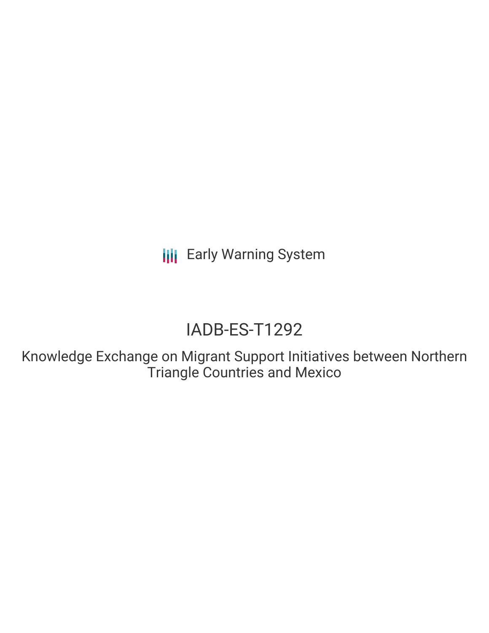**III** Early Warning System

# IADB-ES-T1292

Knowledge Exchange on Migrant Support Initiatives between Northern Triangle Countries and Mexico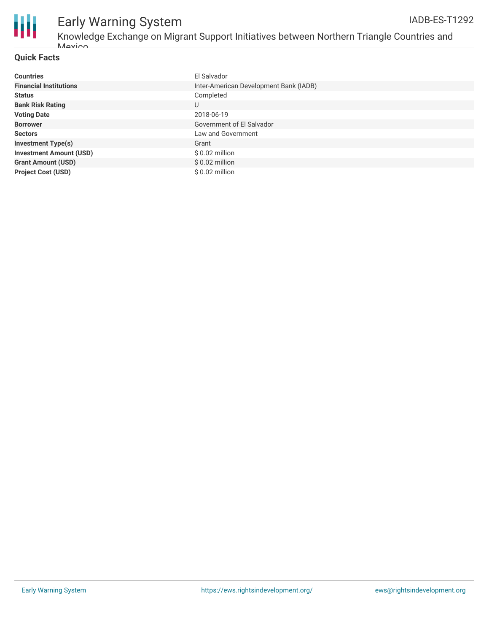

# Early Warning System

### **Quick Facts**

| <b>Countries</b>               | El Salvador                            |
|--------------------------------|----------------------------------------|
| <b>Financial Institutions</b>  | Inter-American Development Bank (IADB) |
| <b>Status</b>                  | Completed                              |
| <b>Bank Risk Rating</b>        | U                                      |
| <b>Voting Date</b>             | 2018-06-19                             |
| <b>Borrower</b>                | Government of El Salvador              |
| <b>Sectors</b>                 | Law and Government                     |
| <b>Investment Type(s)</b>      | Grant                                  |
| <b>Investment Amount (USD)</b> | $$0.02$ million                        |
| <b>Grant Amount (USD)</b>      | $$0.02$ million                        |
| <b>Project Cost (USD)</b>      | \$ 0.02 million                        |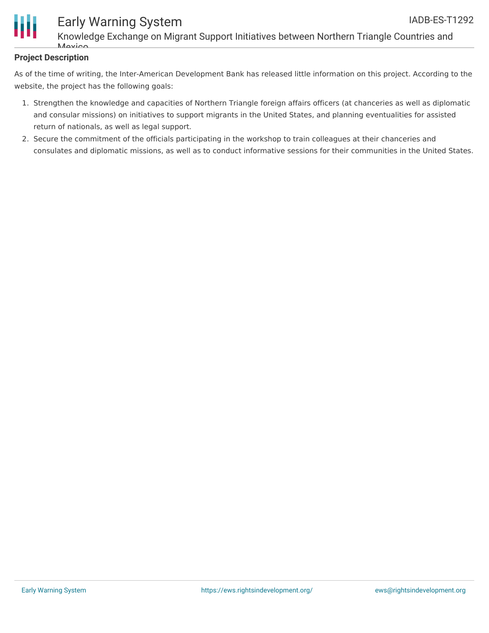

## Early Warning System

Knowledge Exchange on Migrant Support Initiatives between Northern Triangle Countries and  $M\alpha$ 

### **Project Description**

As of the time of writing, the Inter-American Development Bank has released little information on this project. According to the website, the project has the following goals:

- 1. Strengthen the knowledge and capacities of Northern Triangle foreign affairs officers (at chanceries as well as diplomatic and consular missions) on initiatives to support migrants in the United States, and planning eventualities for assisted return of nationals, as well as legal support.
- 2. Secure the commitment of the officials participating in the workshop to train colleagues at their chanceries and consulates and diplomatic missions, as well as to conduct informative sessions for their communities in the United States.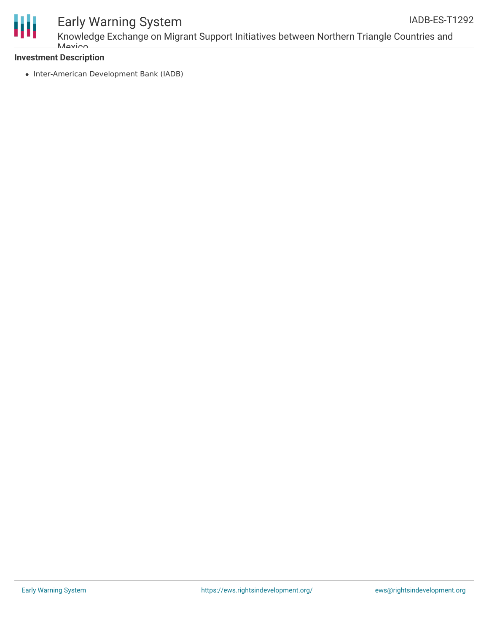

Knowledge Exchange on Migrant Support Initiatives between Northern Triangle Countries and **Mavion** 

### **Investment Description**

• Inter-American Development Bank (IADB)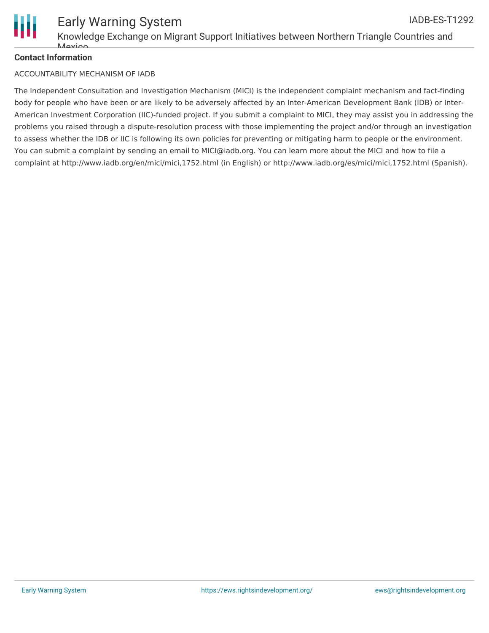

### **Contact Information**

#### ACCOUNTABILITY MECHANISM OF IADB

The Independent Consultation and Investigation Mechanism (MICI) is the independent complaint mechanism and fact-finding body for people who have been or are likely to be adversely affected by an Inter-American Development Bank (IDB) or Inter-American Investment Corporation (IIC)-funded project. If you submit a complaint to MICI, they may assist you in addressing the problems you raised through a dispute-resolution process with those implementing the project and/or through an investigation to assess whether the IDB or IIC is following its own policies for preventing or mitigating harm to people or the environment. You can submit a complaint by sending an email to MICI@iadb.org. You can learn more about the MICI and how to file a complaint at http://www.iadb.org/en/mici/mici,1752.html (in English) or http://www.iadb.org/es/mici/mici,1752.html (Spanish).